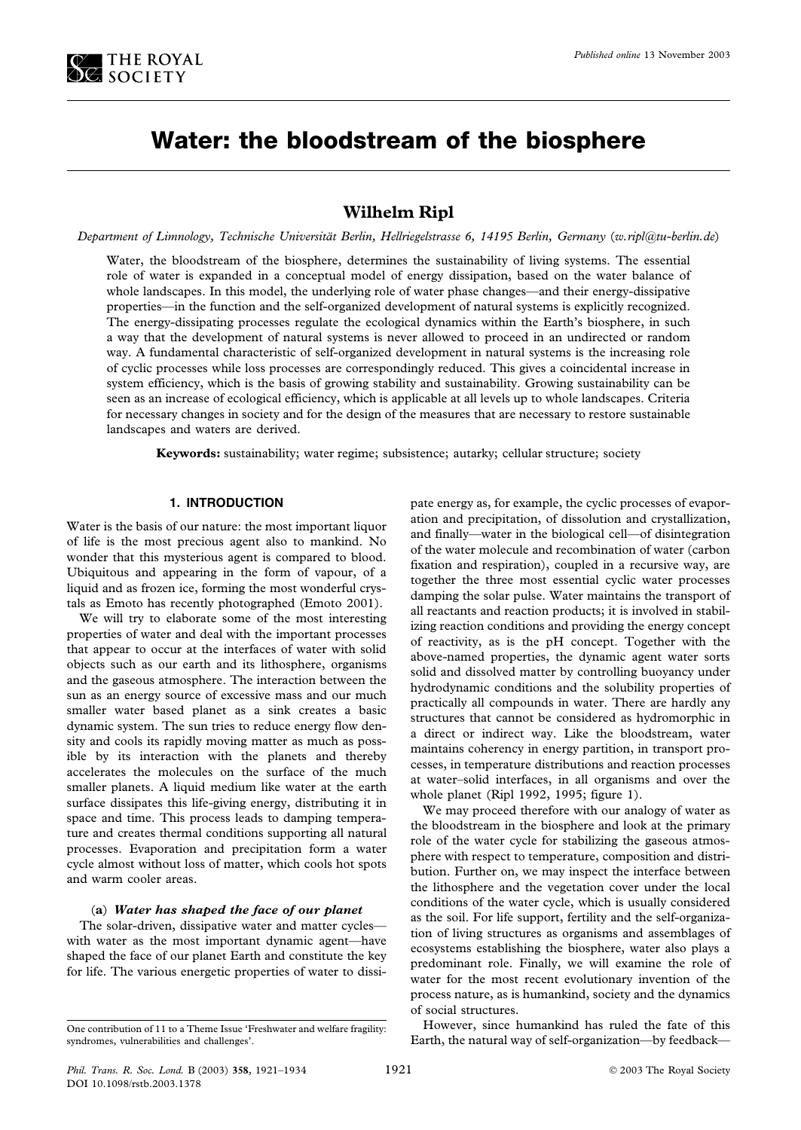

# **Water: the bloodstream of the biosphere**

## **Wilhelm Ripl**

*Department of Limnology, Technische Universita¨t Berlin, Hellriegelstrasse 6, 14195 Berlin, Germany* (*w.ripl@tu-berlin.de*)

Water, the bloodstream of the biosphere, determines the sustainability of living systems. The essential role of water is expanded in a conceptual model of energy dissipation, based on the water balance of whole landscapes. In this model, the underlying role of water phase changes—and their energy-dissipative properties—in the function and the self-organized development of natural systems is explicitly recognized. The energy-dissipating processes regulate the ecological dynamics within the Earth's biosphere, in such a way that the development of natural systems is never allowed to proceed in an undirected or random way. A fundamental characteristic of self-organized development in natural systems is the increasing role of cyclic processes while loss processes are correspondingly reduced. This gives a coincidental increase in system efficiency, which is the basis of growing stability and sustainability. Growing sustainability can be seen as an increase of ecological efficiency, which is applicable at all levels up to whole landscapes. Criteria for necessary changes in society and for the design of the measures that are necessary to restore sustainable landscapes and waters are derived.

**Keywords:** sustainability; water regime; subsistence; autarky; cellular structure; society

## **1. INTRODUCTION**

Water is the basis of our nature: the most important liquor of life is the most precious agent also to mankind. No wonder that this mysterious agent is compared to blood. Ubiquitous and appearing in the form of vapour, of a liquid and as frozen ice, forming the most wonderful crystals as Emoto has recently photographed (Emoto 2001).

We will try to elaborate some of the most interesting properties of water and deal with the important processes that appear to occur at the interfaces of water with solid objects such as our earth and its lithosphere, organisms and the gaseous atmosphere. The interaction between the sun as an energy source of excessive mass and our much smaller water based planet as a sink creates a basic dynamic system. The sun tries to reduce energy flow density and cools its rapidly moving matter as much as possible by its interaction with the planets and thereby accelerates the molecules on the surface of the much smaller planets. A liquid medium like water at the earth surface dissipates this life-giving energy, distributing it in space and time. This process leads to damping temperature and creates thermal conditions supporting all natural processes. Evaporation and precipitation form a water cycle almost without loss of matter, which cools hot spots and warm cooler areas.

## (**a**) *Water has shaped the face of our planet*

The solar-driven, dissipative water and matter cycles with water as the most important dynamic agent—have shaped the face of our planet Earth and constitute the key for life. The various energetic properties of water to dissipate energy as, for example, the cyclic processes of evaporation and precipitation, of dissolution and crystallization, and finally—water in the biological cell—of disintegration of the water molecule and recombination of water (carbon fixation and respiration), coupled in a recursive way, are together the three most essential cyclic water processes damping the solar pulse. Water maintains the transport of all reactants and reaction products; it is involved in stabilizing reaction conditions and providing the energy concept of reactivity, as is the pH concept. Together with the above-named properties, the dynamic agent water sorts solid and dissolved matter by controlling buoyancy under hydrodynamic conditions and the solubility properties of practically all compounds in water. There are hardly any structures that cannot be considered as hydromorphic in a direct or indirect way. Like the bloodstream, water maintains coherency in energy partition, in transport processes, in temperature distributions and reaction processes at water–solid interfaces, in all organisms and over the whole planet (Ripl 1992, 1995; figure 1).

We may proceed therefore with our analogy of water as the bloodstream in the biosphere and look at the primary role of the water cycle for stabilizing the gaseous atmosphere with respect to temperature, composition and distribution. Further on, we may inspect the interface between the lithosphere and the vegetation cover under the local conditions of the water cycle, which is usually considered as the soil. For life support, fertility and the self-organization of living structures as organisms and assemblages of ecosystems establishing the biosphere, water also plays a predominant role. Finally, we will examine the role of water for the most recent evolutionary invention of the process nature, as is humankind, society and the dynamics of social structures.

However, since humankind has ruled the fate of this Earth, the natural way of self-organization—by feedback—

One contribution of 11 to a Theme Issue 'Freshwater and welfare fragility: syndromes, vulnerabilities and challenges'.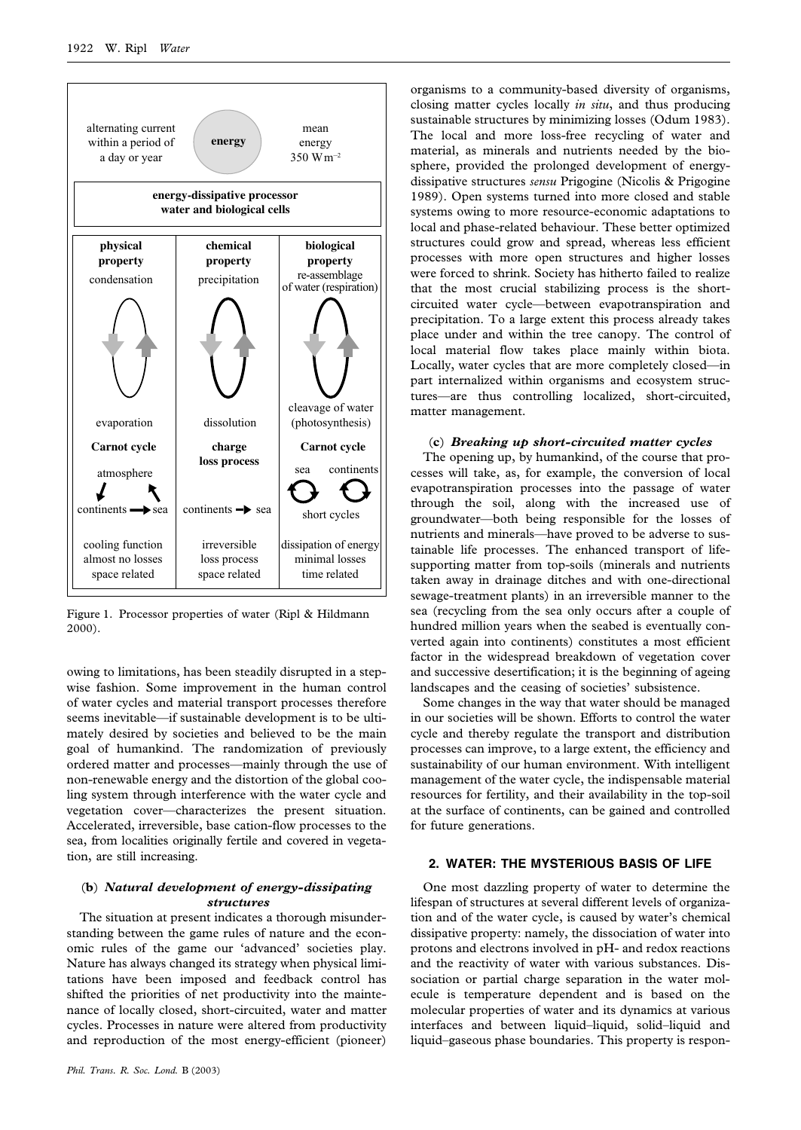

Figure 1. Processor properties of water (Ripl & Hildmann 2000).

owing to limitations, has been steadily disrupted in a stepwise fashion. Some improvement in the human control of water cycles and material transport processes therefore seems inevitable—if sustainable development is to be ultimately desired by societies and believed to be the main goal of humankind. The randomization of previously ordered matter and processes—mainly through the use of non-renewable energy and the distortion of the global cooling system through interference with the water cycle and vegetation cover—characterizes the present situation. Accelerated, irreversible, base cation-flow processes to the sea, from localities originally fertile and covered in vegetation, are still increasing.

#### (**b**) *Natural development of energy-dissipating structures*

The situation at present indicates a thorough misunderstanding between the game rules of nature and the economic rules of the game our 'advanced' societies play. Nature has always changed its strategy when physical limitations have been imposed and feedback control has shifted the priorities of net productivity into the maintenance of locally closed, short-circuited, water and matter cycles. Processes in nature were altered from productivity and reproduction of the most energy-efficient (pioneer)

organisms to a community-based diversity of organisms, closing matter cycles locally *in situ*, and thus producing sustainable structures by minimizing losses (Odum 1983). The local and more loss-free recycling of water and material, as minerals and nutrients needed by the biosphere, provided the prolonged development of energydissipative structures *sensu* Prigogine (Nicolis & Prigogine 1989). Open systems turned into more closed and stable systems owing to more resource-economic adaptations to local and phase-related behaviour. These better optimized structures could grow and spread, whereas less efficient processes with more open structures and higher losses were forced to shrink. Society has hitherto failed to realize that the most crucial stabilizing process is the shortcircuited water cycle—between evapotranspiration and precipitation. To a large extent this process already takes place under and within the tree canopy. The control of local material flow takes place mainly within biota. Locally, water cycles that are more completely closed—in part internalized within organisms and ecosystem structures—are thus controlling localized, short-circuited, matter management.

#### (**c**) *Breaking up short-circuited matter cycles*

The opening up, by humankind, of the course that processes will take, as, for example, the conversion of local evapotranspiration processes into the passage of water through the soil, along with the increased use of groundwater—both being responsible for the losses of nutrients and minerals—have proved to be adverse to sustainable life processes. The enhanced transport of lifesupporting matter from top-soils (minerals and nutrients taken away in drainage ditches and with one-directional sewage-treatment plants) in an irreversible manner to the sea (recycling from the sea only occurs after a couple of hundred million years when the seabed is eventually converted again into continents) constitutes a most efficient factor in the widespread breakdown of vegetation cover and successive desertification; it is the beginning of ageing landscapes and the ceasing of societies' subsistence.

Some changes in the way that water should be managed in our societies will be shown. Efforts to control the water cycle and thereby regulate the transport and distribution processes can improve, to a large extent, the efficiency and sustainability of our human environment. With intelligent management of the water cycle, the indispensable material resources for fertility, and their availability in the top-soil at the surface of continents, can be gained and controlled for future generations.

## **2. WATER: THE MYSTERIOUS BASIS OF LIFE**

One most dazzling property of water to determine the lifespan of structures at several different levels of organization and of the water cycle, is caused by water's chemical dissipative property: namely, the dissociation of water into protons and electrons involved in pH- and redox reactions and the reactivity of water with various substances. Dissociation or partial charge separation in the water molecule is temperature dependent and is based on the molecular properties of water and its dynamics at various interfaces and between liquid–liquid, solid–liquid and liquid–gaseous phase boundaries. This property is respon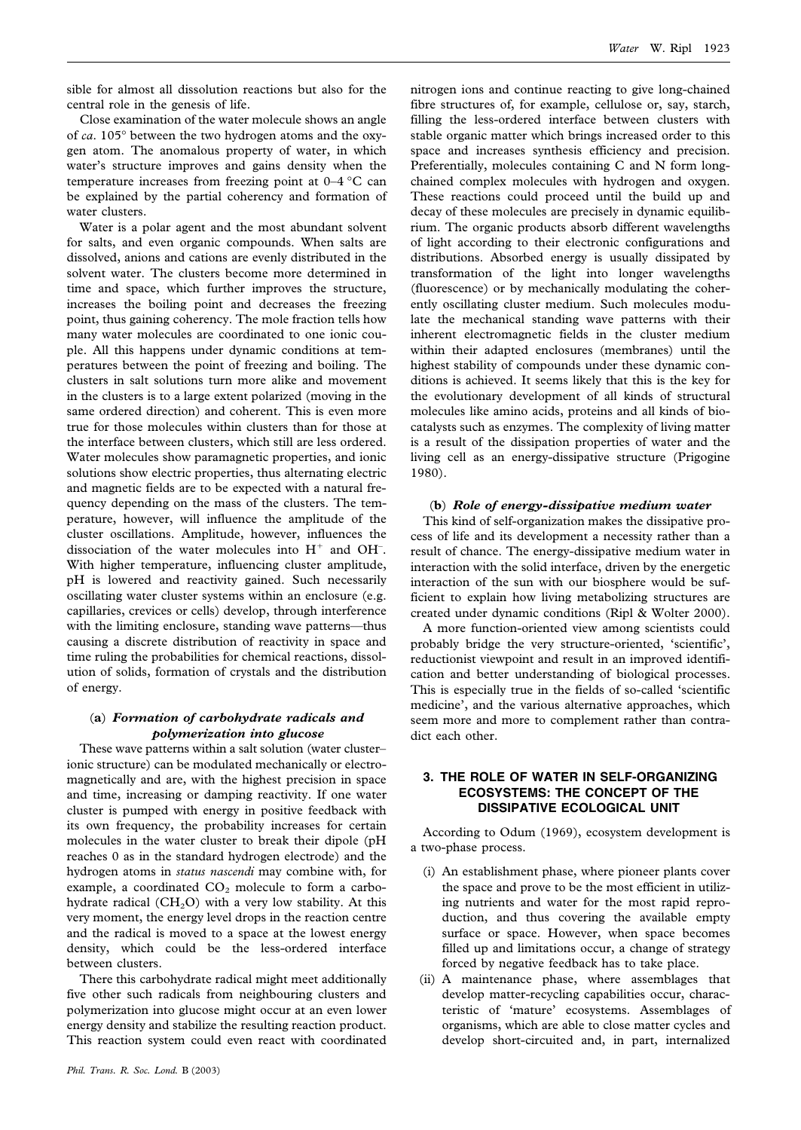sible for almost all dissolution reactions but also for the central role in the genesis of life.

Close examination of the water molecule shows an angle of *ca*. 105° between the two hydrogen atoms and the oxygen atom. The anomalous property of water, in which water's structure improves and gains density when the temperature increases from freezing point at 0–4 °C can be explained by the partial coherency and formation of water clusters.

Water is a polar agent and the most abundant solvent for salts, and even organic compounds. When salts are dissolved, anions and cations are evenly distributed in the solvent water. The clusters become more determined in time and space, which further improves the structure, increases the boiling point and decreases the freezing point, thus gaining coherency. The mole fraction tells how many water molecules are coordinated to one ionic couple. All this happens under dynamic conditions at temperatures between the point of freezing and boiling. The clusters in salt solutions turn more alike and movement in the clusters is to a large extent polarized (moving in the same ordered direction) and coherent. This is even more true for those molecules within clusters than for those at the interface between clusters, which still are less ordered. Water molecules show paramagnetic properties, and ionic solutions show electric properties, thus alternating electric and magnetic fields are to be expected with a natural frequency depending on the mass of the clusters. The temperature, however, will influence the amplitude of the cluster oscillations. Amplitude, however, influences the dissociation of the water molecules into  $H^+$  and OH<sup>-</sup>. With higher temperature, influencing cluster amplitude, pH is lowered and reactivity gained. Such necessarily oscillating water cluster systems within an enclosure (e.g. capillaries, crevices or cells) develop, through interference with the limiting enclosure, standing wave patterns—thus causing a discrete distribution of reactivity in space and time ruling the probabilities for chemical reactions, dissolution of solids, formation of crystals and the distribution of energy.

#### (**a**) *Formation of carbohydrate radicals and polymerization into glucose*

These wave patterns within a salt solution (water cluster– ionic structure) can be modulated mechanically or electromagnetically and are, with the highest precision in space and time, increasing or damping reactivity. If one water cluster is pumped with energy in positive feedback with its own frequency, the probability increases for certain molecules in the water cluster to break their dipole (pH reaches 0 as in the standard hydrogen electrode) and the hydrogen atoms in *status nascendi* may combine with, for example, a coordinated  $CO<sub>2</sub>$  molecule to form a carbohydrate radical  $(CH_2O)$  with a very low stability. At this very moment, the energy level drops in the reaction centre and the radical is moved to a space at the lowest energy density, which could be the less-ordered interface between clusters.

There this carbohydrate radical might meet additionally five other such radicals from neighbouring clusters and polymerization into glucose might occur at an even lower energy density and stabilize the resulting reaction product. This reaction system could even react with coordinated

nitrogen ions and continue reacting to give long-chained fibre structures of, for example, cellulose or, say, starch, filling the less-ordered interface between clusters with stable organic matter which brings increased order to this space and increases synthesis efficiency and precision. Preferentially, molecules containing C and N form longchained complex molecules with hydrogen and oxygen. These reactions could proceed until the build up and decay of these molecules are precisely in dynamic equilibrium. The organic products absorb different wavelengths of light according to their electronic configurations and distributions. Absorbed energy is usually dissipated by transformation of the light into longer wavelengths (fluorescence) or by mechanically modulating the coherently oscillating cluster medium. Such molecules modulate the mechanical standing wave patterns with their inherent electromagnetic fields in the cluster medium within their adapted enclosures (membranes) until the highest stability of compounds under these dynamic conditions is achieved. It seems likely that this is the key for the evolutionary development of all kinds of structural molecules like amino acids, proteins and all kinds of biocatalysts such as enzymes. The complexity of living matter is a result of the dissipation properties of water and the living cell as an energy-dissipative structure (Prigogine 1980).

## (**b**) *Role of energy-dissipative medium water*

This kind of self-organization makes the dissipative process of life and its development a necessity rather than a result of chance. The energy-dissipative medium water in interaction with the solid interface, driven by the energetic interaction of the sun with our biosphere would be sufficient to explain how living metabolizing structures are created under dynamic conditions (Ripl & Wolter 2000).

A more function-oriented view among scientists could probably bridge the very structure-oriented, 'scientific', reductionist viewpoint and result in an improved identification and better understanding of biological processes. This is especially true in the fields of so-called 'scientific medicine', and the various alternative approaches, which seem more and more to complement rather than contradict each other.

## **3. THE ROLE OF WATER IN SELF-ORGANIZING ECOSYSTEMS: THE CONCEPT OF THE DISSIPATIVE ECOLOGICAL UNIT**

According to Odum (1969), ecosystem development is a two-phase process.

- (i) An establishment phase, where pioneer plants cover the space and prove to be the most efficient in utilizing nutrients and water for the most rapid reproduction, and thus covering the available empty surface or space. However, when space becomes filled up and limitations occur, a change of strategy forced by negative feedback has to take place.
- (ii) A maintenance phase, where assemblages that develop matter-recycling capabilities occur, characteristic of 'mature' ecosystems. Assemblages of organisms, which are able to close matter cycles and develop short-circuited and, in part, internalized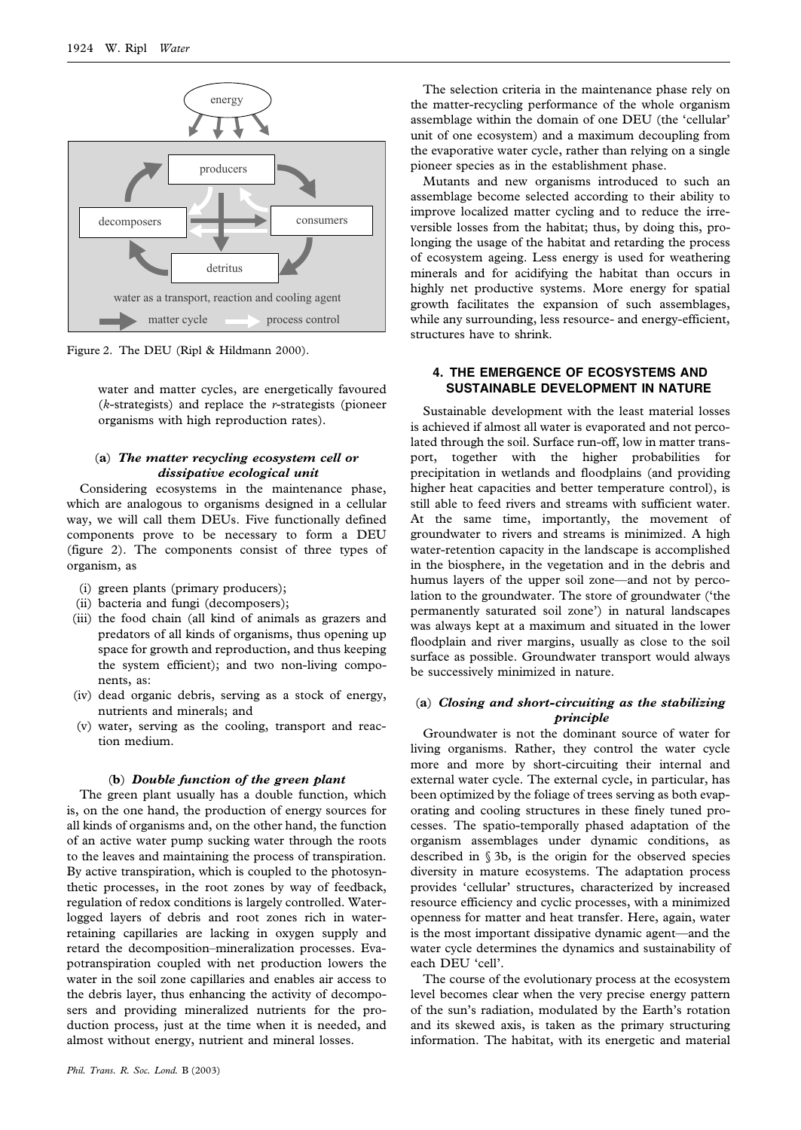

Figure 2. The DEU (Ripl & Hildmann 2000).

water and matter cycles, are energetically favoured (*k*-strategists) and replace the *r*-strategists (pioneer organisms with high reproduction rates).

## (**a**) *The matter recycling ecosystem cell or dissipative ecological unit*

Considering ecosystems in the maintenance phase, which are analogous to organisms designed in a cellular way, we will call them DEUs. Five functionally defined components prove to be necessary to form a DEU (figure 2). The components consist of three types of organism, as

- (i) green plants (primary producers);
- (ii) bacteria and fungi (decomposers);
- (iii) the food chain (all kind of animals as grazers and predators of all kinds of organisms, thus opening up space for growth and reproduction, and thus keeping the system efficient); and two non-living components, as:
- (iv) dead organic debris, serving as a stock of energy, nutrients and minerals; and
- (v) water, serving as the cooling, transport and reaction medium.

#### (**b**) *Double function of the green plant*

The green plant usually has a double function, which is, on the one hand, the production of energy sources for all kinds of organisms and, on the other hand, the function of an active water pump sucking water through the roots to the leaves and maintaining the process of transpiration. By active transpiration, which is coupled to the photosynthetic processes, in the root zones by way of feedback, regulation of redox conditions is largely controlled. Waterlogged layers of debris and root zones rich in waterretaining capillaries are lacking in oxygen supply and retard the decomposition–mineralization processes. Evapotranspiration coupled with net production lowers the water in the soil zone capillaries and enables air access to the debris layer, thus enhancing the activity of decomposers and providing mineralized nutrients for the production process, just at the time when it is needed, and almost without energy, nutrient and mineral losses.

The selection criteria in the maintenance phase rely on the matter-recycling performance of the whole organism assemblage within the domain of one DEU (the 'cellular' unit of one ecosystem) and a maximum decoupling from the evaporative water cycle, rather than relying on a single pioneer species as in the establishment phase.

Mutants and new organisms introduced to such an assemblage become selected according to their ability to improve localized matter cycling and to reduce the irreversible losses from the habitat; thus, by doing this, prolonging the usage of the habitat and retarding the process of ecosystem ageing. Less energy is used for weathering minerals and for acidifying the habitat than occurs in highly net productive systems. More energy for spatial growth facilitates the expansion of such assemblages, while any surrounding, less resource- and energy-efficient, structures have to shrink.

## **4. THE EMERGENCE OF ECOSYSTEMS AND SUSTAINABLE DEVELOPMENT IN NATURE**

Sustainable development with the least material losses is achieved if almost all water is evaporated and not percolated through the soil. Surface run-off, low in matter transport, together with the higher probabilities for precipitation in wetlands and floodplains (and providing higher heat capacities and better temperature control), is still able to feed rivers and streams with sufficient water. At the same time, importantly, the movement of groundwater to rivers and streams is minimized. A high water-retention capacity in the landscape is accomplished in the biosphere, in the vegetation and in the debris and humus layers of the upper soil zone—and not by percolation to the groundwater. The store of groundwater ('the permanently saturated soil zone') in natural landscapes was always kept at a maximum and situated in the lower floodplain and river margins, usually as close to the soil surface as possible. Groundwater transport would always be successively minimized in nature.

## (**a**) *Closing and short-circuiting as the stabilizing principle*

Groundwater is not the dominant source of water for living organisms. Rather, they control the water cycle more and more by short-circuiting their internal and external water cycle. The external cycle, in particular, has been optimized by the foliage of trees serving as both evaporating and cooling structures in these finely tuned processes. The spatio-temporally phased adaptation of the organism assemblages under dynamic conditions, as described in § 3b, is the origin for the observed species diversity in mature ecosystems. The adaptation process provides 'cellular' structures, characterized by increased resource efficiency and cyclic processes, with a minimized openness for matter and heat transfer. Here, again, water is the most important dissipative dynamic agent—and the water cycle determines the dynamics and sustainability of each DEU 'cell'.

The course of the evolutionary process at the ecosystem level becomes clear when the very precise energy pattern of the sun's radiation, modulated by the Earth's rotation and its skewed axis, is taken as the primary structuring information. The habitat, with its energetic and material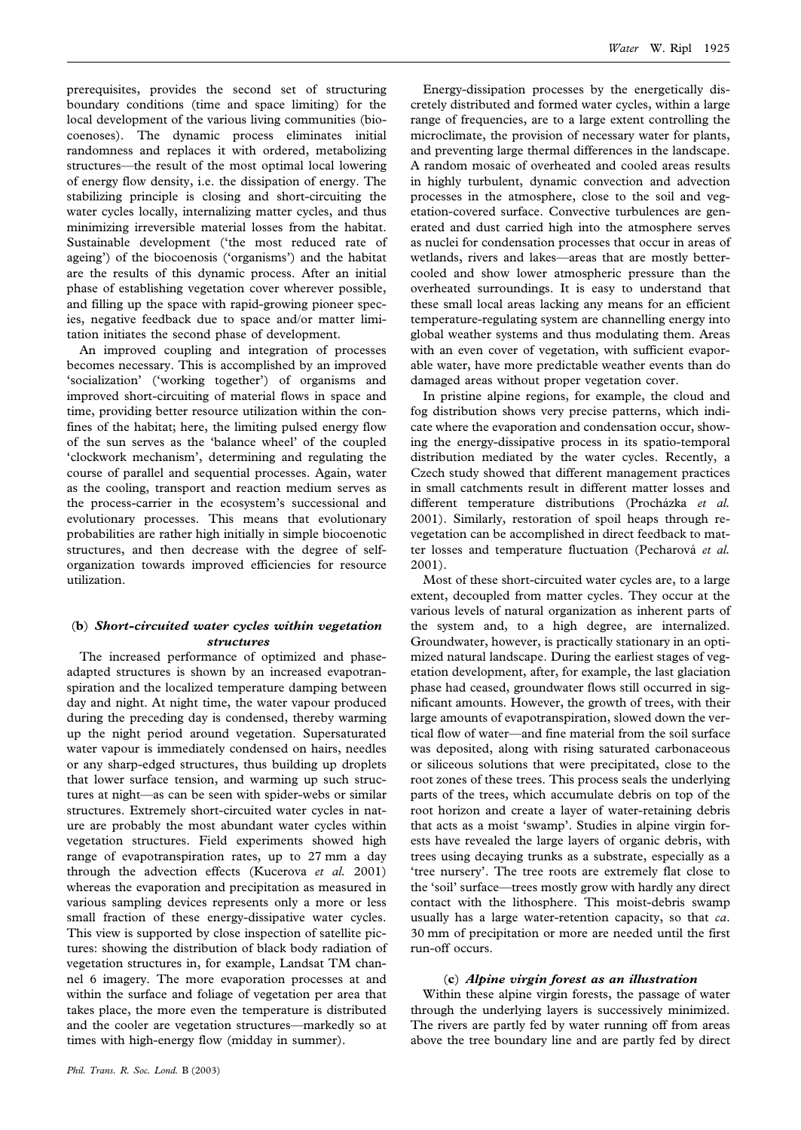prerequisites, provides the second set of structuring boundary conditions (time and space limiting) for the local development of the various living communities (biocoenoses). The dynamic process eliminates initial randomness and replaces it with ordered, metabolizing structures—the result of the most optimal local lowering of energy flow density, i.e. the dissipation of energy. The stabilizing principle is closing and short-circuiting the water cycles locally, internalizing matter cycles, and thus minimizing irreversible material losses from the habitat. Sustainable development ('the most reduced rate of ageing') of the biocoenosis ('organisms') and the habitat are the results of this dynamic process. After an initial phase of establishing vegetation cover wherever possible, and filling up the space with rapid-growing pioneer species, negative feedback due to space and/or matter limitation initiates the second phase of development.

An improved coupling and integration of processes becomes necessary. This is accomplished by an improved 'socialization' ('working together') of organisms and improved short-circuiting of material flows in space and time, providing better resource utilization within the confines of the habitat; here, the limiting pulsed energy flow of the sun serves as the 'balance wheel' of the coupled 'clockwork mechanism', determining and regulating the course of parallel and sequential processes. Again, water as the cooling, transport and reaction medium serves as the process-carrier in the ecosystem's successional and evolutionary processes. This means that evolutionary probabilities are rather high initially in simple biocoenotic structures, and then decrease with the degree of selforganization towards improved efficiencies for resource utilization.

## (**b**) *Short-circuited water cycles within vegetation structures*

The increased performance of optimized and phaseadapted structures is shown by an increased evapotranspiration and the localized temperature damping between day and night. At night time, the water vapour produced during the preceding day is condensed, thereby warming up the night period around vegetation. Supersaturated water vapour is immediately condensed on hairs, needles or any sharp-edged structures, thus building up droplets that lower surface tension, and warming up such structures at night—as can be seen with spider-webs or similar structures. Extremely short-circuited water cycles in nature are probably the most abundant water cycles within vegetation structures. Field experiments showed high range of evapotranspiration rates, up to 27 mm a day through the advection effects (Kucerova *et al.* 2001) whereas the evaporation and precipitation as measured in various sampling devices represents only a more or less small fraction of these energy-dissipative water cycles. This view is supported by close inspection of satellite pictures: showing the distribution of black body radiation of vegetation structures in, for example, Landsat TM channel 6 imagery. The more evaporation processes at and within the surface and foliage of vegetation per area that takes place, the more even the temperature is distributed and the cooler are vegetation structures—markedly so at times with high-energy flow (midday in summer).

cretely distributed and formed water cycles, within a large range of frequencies, are to a large extent controlling the microclimate, the provision of necessary water for plants, and preventing large thermal differences in the landscape. A random mosaic of overheated and cooled areas results in highly turbulent, dynamic convection and advection processes in the atmosphere, close to the soil and vegetation-covered surface. Convective turbulences are generated and dust carried high into the atmosphere serves as nuclei for condensation processes that occur in areas of wetlands, rivers and lakes—areas that are mostly bettercooled and show lower atmospheric pressure than the overheated surroundings. It is easy to understand that these small local areas lacking any means for an efficient temperature-regulating system are channelling energy into global weather systems and thus modulating them. Areas with an even cover of vegetation, with sufficient evaporable water, have more predictable weather events than do damaged areas without proper vegetation cover.

Energy-dissipation processes by the energetically dis-

In pristine alpine regions, for example, the cloud and fog distribution shows very precise patterns, which indicate where the evaporation and condensation occur, showing the energy-dissipative process in its spatio-temporal distribution mediated by the water cycles. Recently, a Czech study showed that different management practices in small catchments result in different matter losses and different temperature distributions (Procházka et al. 2001). Similarly, restoration of spoil heaps through revegetation can be accomplished in direct feedback to matter losses and temperature fluctuation (Pecharová et al. 2001).

Most of these short-circuited water cycles are, to a large extent, decoupled from matter cycles. They occur at the various levels of natural organization as inherent parts of the system and, to a high degree, are internalized. Groundwater, however, is practically stationary in an optimized natural landscape. During the earliest stages of vegetation development, after, for example, the last glaciation phase had ceased, groundwater flows still occurred in significant amounts. However, the growth of trees, with their large amounts of evapotranspiration, slowed down the vertical flow of water—and fine material from the soil surface was deposited, along with rising saturated carbonaceous or siliceous solutions that were precipitated, close to the root zones of these trees. This process seals the underlying parts of the trees, which accumulate debris on top of the root horizon and create a layer of water-retaining debris that acts as a moist 'swamp'. Studies in alpine virgin forests have revealed the large layers of organic debris, with trees using decaying trunks as a substrate, especially as a 'tree nursery'. The tree roots are extremely flat close to the 'soil' surface—trees mostly grow with hardly any direct contact with the lithosphere. This moist-debris swamp usually has a large water-retention capacity, so that *ca*. 30 mm of precipitation or more are needed until the first run-off occurs.

#### (**c**) *Alpine virgin forest as an illustration*

Within these alpine virgin forests, the passage of water through the underlying layers is successively minimized. The rivers are partly fed by water running off from areas above the tree boundary line and are partly fed by direct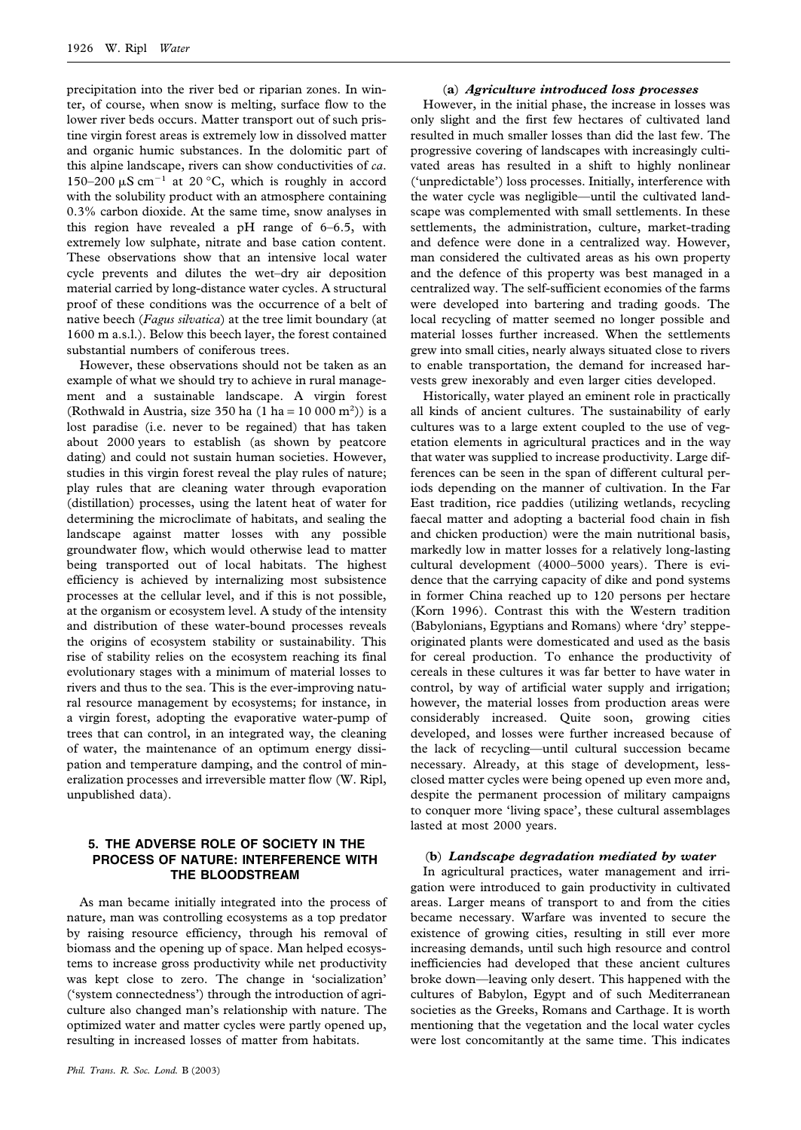precipitation into the river bed or riparian zones. In winter, of course, when snow is melting, surface flow to the lower river beds occurs. Matter transport out of such pristine virgin forest areas is extremely low in dissolved matter and organic humic substances. In the dolomitic part of this alpine landscape, rivers can show conductivities of *ca*. 150–200  $\mu$ S cm<sup>-1</sup> at 20 °C, which is roughly in accord with the solubility product with an atmosphere containing 0.3% carbon dioxide. At the same time, snow analyses in this region have revealed a pH range of 6–6.5, with extremely low sulphate, nitrate and base cation content. These observations show that an intensive local water cycle prevents and dilutes the wet–dry air deposition material carried by long-distance water cycles. A structural proof of these conditions was the occurrence of a belt of native beech (*Fagus silvatica*) at the tree limit boundary (at 1600 m a.s.l.). Below this beech layer, the forest contained substantial numbers of coniferous trees.

However, these observations should not be taken as an example of what we should try to achieve in rural management and a sustainable landscape. A virgin forest (Rothwald in Austria, size  $350$  ha  $(1 \text{ ha} = 10000 \text{ m}^2)$ ) is a lost paradise (i.e. never to be regained) that has taken about 2000 years to establish (as shown by peatcore dating) and could not sustain human societies. However, studies in this virgin forest reveal the play rules of nature; play rules that are cleaning water through evaporation (distillation) processes, using the latent heat of water for determining the microclimate of habitats, and sealing the landscape against matter losses with any possible groundwater flow, which would otherwise lead to matter being transported out of local habitats. The highest efficiency is achieved by internalizing most subsistence processes at the cellular level, and if this is not possible, at the organism or ecosystem level. A study of the intensity and distribution of these water-bound processes reveals the origins of ecosystem stability or sustainability. This rise of stability relies on the ecosystem reaching its final evolutionary stages with a minimum of material losses to rivers and thus to the sea. This is the ever-improving natural resource management by ecosystems; for instance, in a virgin forest, adopting the evaporative water-pump of trees that can control, in an integrated way, the cleaning of water, the maintenance of an optimum energy dissipation and temperature damping, and the control of mineralization processes and irreversible matter flow (W. Ripl, unpublished data).

#### **5. THE ADVERSE ROLE OF SOCIETY IN THE PROCESS OF NATURE: INTERFERENCE WITH THE BLOODSTREAM**

As man became initially integrated into the process of nature, man was controlling ecosystems as a top predator by raising resource efficiency, through his removal of biomass and the opening up of space. Man helped ecosystems to increase gross productivity while net productivity was kept close to zero. The change in 'socialization' ('system connectedness') through the introduction of agriculture also changed man's relationship with nature. The optimized water and matter cycles were partly opened up, resulting in increased losses of matter from habitats.

#### (**a**) *Agriculture introduced loss processes*

However, in the initial phase, the increase in losses was only slight and the first few hectares of cultivated land resulted in much smaller losses than did the last few. The progressive covering of landscapes with increasingly cultivated areas has resulted in a shift to highly nonlinear ('unpredictable') loss processes. Initially, interference with the water cycle was negligible—until the cultivated landscape was complemented with small settlements. In these settlements, the administration, culture, market-trading and defence were done in a centralized way. However, man considered the cultivated areas as his own property and the defence of this property was best managed in a centralized way. The self-sufficient economies of the farms were developed into bartering and trading goods. The local recycling of matter seemed no longer possible and material losses further increased. When the settlements grew into small cities, nearly always situated close to rivers to enable transportation, the demand for increased harvests grew inexorably and even larger cities developed.

Historically, water played an eminent role in practically all kinds of ancient cultures. The sustainability of early cultures was to a large extent coupled to the use of vegetation elements in agricultural practices and in the way that water was supplied to increase productivity. Large differences can be seen in the span of different cultural periods depending on the manner of cultivation. In the Far East tradition, rice paddies (utilizing wetlands, recycling faecal matter and adopting a bacterial food chain in fish and chicken production) were the main nutritional basis, markedly low in matter losses for a relatively long-lasting cultural development (4000–5000 years). There is evidence that the carrying capacity of dike and pond systems in former China reached up to 120 persons per hectare (Korn 1996). Contrast this with the Western tradition (Babylonians, Egyptians and Romans) where 'dry' steppeoriginated plants were domesticated and used as the basis for cereal production. To enhance the productivity of cereals in these cultures it was far better to have water in control, by way of artificial water supply and irrigation; however, the material losses from production areas were considerably increased. Quite soon, growing cities developed, and losses were further increased because of the lack of recycling—until cultural succession became necessary. Already, at this stage of development, lessclosed matter cycles were being opened up even more and, despite the permanent procession of military campaigns to conquer more 'living space', these cultural assemblages lasted at most 2000 years.

#### (**b**) *Landscape degradation mediated by water*

In agricultural practices, water management and irrigation were introduced to gain productivity in cultivated areas. Larger means of transport to and from the cities became necessary. Warfare was invented to secure the existence of growing cities, resulting in still ever more increasing demands, until such high resource and control inefficiencies had developed that these ancient cultures broke down—leaving only desert. This happened with the cultures of Babylon, Egypt and of such Mediterranean societies as the Greeks, Romans and Carthage. It is worth mentioning that the vegetation and the local water cycles were lost concomitantly at the same time. This indicates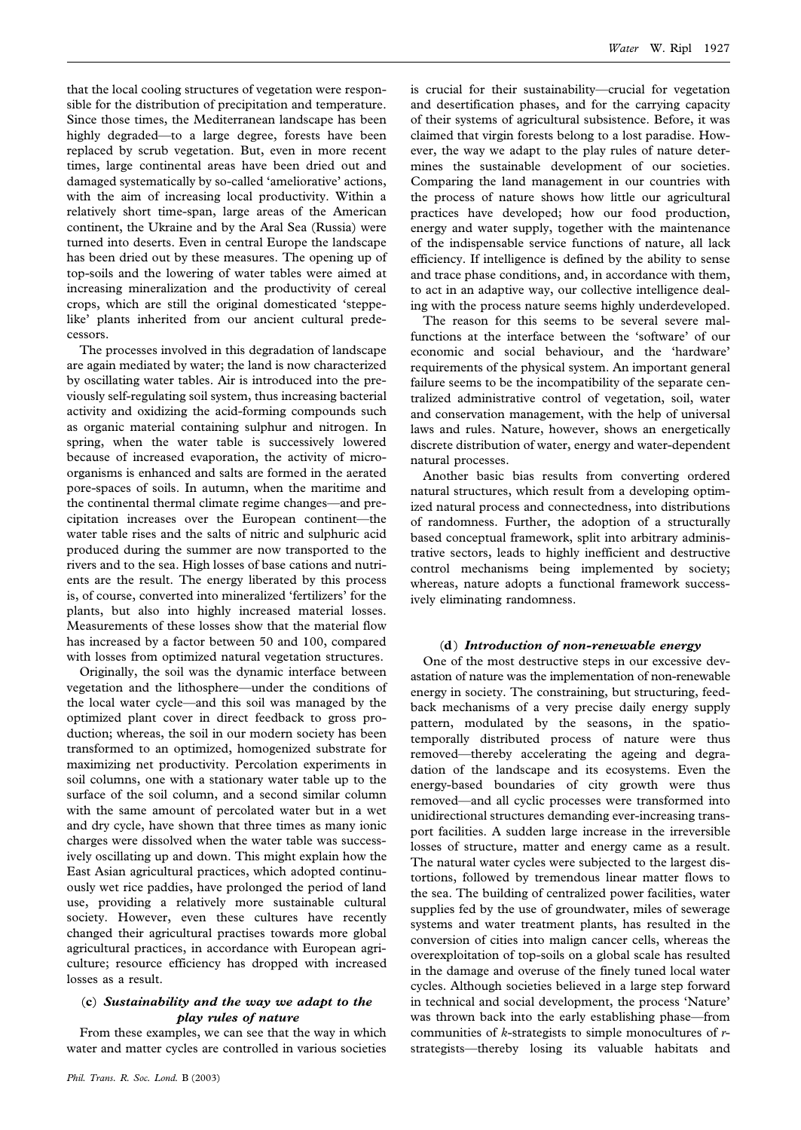that the local cooling structures of vegetation were responsible for the distribution of precipitation and temperature. Since those times, the Mediterranean landscape has been highly degraded—to a large degree, forests have been replaced by scrub vegetation. But, even in more recent times, large continental areas have been dried out and damaged systematically by so-called 'ameliorative' actions, with the aim of increasing local productivity. Within a relatively short time-span, large areas of the American continent, the Ukraine and by the Aral Sea (Russia) were turned into deserts. Even in central Europe the landscape has been dried out by these measures. The opening up of top-soils and the lowering of water tables were aimed at increasing mineralization and the productivity of cereal crops, which are still the original domesticated 'steppelike' plants inherited from our ancient cultural predecessors.

The processes involved in this degradation of landscape are again mediated by water; the land is now characterized by oscillating water tables. Air is introduced into the previously self-regulating soil system, thus increasing bacterial activity and oxidizing the acid-forming compounds such as organic material containing sulphur and nitrogen. In spring, when the water table is successively lowered because of increased evaporation, the activity of microorganisms is enhanced and salts are formed in the aerated pore-spaces of soils. In autumn, when the maritime and the continental thermal climate regime changes—and precipitation increases over the European continent—the water table rises and the salts of nitric and sulphuric acid produced during the summer are now transported to the rivers and to the sea. High losses of base cations and nutrients are the result. The energy liberated by this process is, of course, converted into mineralized 'fertilizers' for the plants, but also into highly increased material losses. Measurements of these losses show that the material flow has increased by a factor between 50 and 100, compared with losses from optimized natural vegetation structures.

Originally, the soil was the dynamic interface between vegetation and the lithosphere—under the conditions of the local water cycle—and this soil was managed by the optimized plant cover in direct feedback to gross production; whereas, the soil in our modern society has been transformed to an optimized, homogenized substrate for maximizing net productivity. Percolation experiments in soil columns, one with a stationary water table up to the surface of the soil column, and a second similar column with the same amount of percolated water but in a wet and dry cycle, have shown that three times as many ionic charges were dissolved when the water table was successively oscillating up and down. This might explain how the East Asian agricultural practices, which adopted continuously wet rice paddies, have prolonged the period of land use, providing a relatively more sustainable cultural society. However, even these cultures have recently changed their agricultural practises towards more global agricultural practices, in accordance with European agriculture; resource efficiency has dropped with increased losses as a result.

## (**c**) *Sustainability and the way we adapt to the play rules of nature*

From these examples, we can see that the way in which water and matter cycles are controlled in various societies

is crucial for their sustainability—crucial for vegetation and desertification phases, and for the carrying capacity of their systems of agricultural subsistence. Before, it was claimed that virgin forests belong to a lost paradise. However, the way we adapt to the play rules of nature determines the sustainable development of our societies. Comparing the land management in our countries with the process of nature shows how little our agricultural practices have developed; how our food production, energy and water supply, together with the maintenance of the indispensable service functions of nature, all lack efficiency. If intelligence is defined by the ability to sense and trace phase conditions, and, in accordance with them, to act in an adaptive way, our collective intelligence dealing with the process nature seems highly underdeveloped.

The reason for this seems to be several severe malfunctions at the interface between the 'software' of our economic and social behaviour, and the 'hardware' requirements of the physical system. An important general failure seems to be the incompatibility of the separate centralized administrative control of vegetation, soil, water and conservation management, with the help of universal laws and rules. Nature, however, shows an energetically discrete distribution of water, energy and water-dependent natural processes.

Another basic bias results from converting ordered natural structures, which result from a developing optimized natural process and connectedness, into distributions of randomness. Further, the adoption of a structurally based conceptual framework, split into arbitrary administrative sectors, leads to highly inefficient and destructive control mechanisms being implemented by society; whereas, nature adopts a functional framework successively eliminating randomness.

#### (**d**) *Introduction of non-renewable energy*

One of the most destructive steps in our excessive devastation of nature was the implementation of non-renewable energy in society. The constraining, but structuring, feedback mechanisms of a very precise daily energy supply pattern, modulated by the seasons, in the spatiotemporally distributed process of nature were thus removed—thereby accelerating the ageing and degradation of the landscape and its ecosystems. Even the energy-based boundaries of city growth were thus removed—and all cyclic processes were transformed into unidirectional structures demanding ever-increasing transport facilities. A sudden large increase in the irreversible losses of structure, matter and energy came as a result. The natural water cycles were subjected to the largest distortions, followed by tremendous linear matter flows to the sea. The building of centralized power facilities, water supplies fed by the use of groundwater, miles of sewerage systems and water treatment plants, has resulted in the conversion of cities into malign cancer cells, whereas the overexploitation of top-soils on a global scale has resulted in the damage and overuse of the finely tuned local water cycles. Although societies believed in a large step forward in technical and social development, the process 'Nature' was thrown back into the early establishing phase—from communities of *k*-strategists to simple monocultures of *r*strategists—thereby losing its valuable habitats and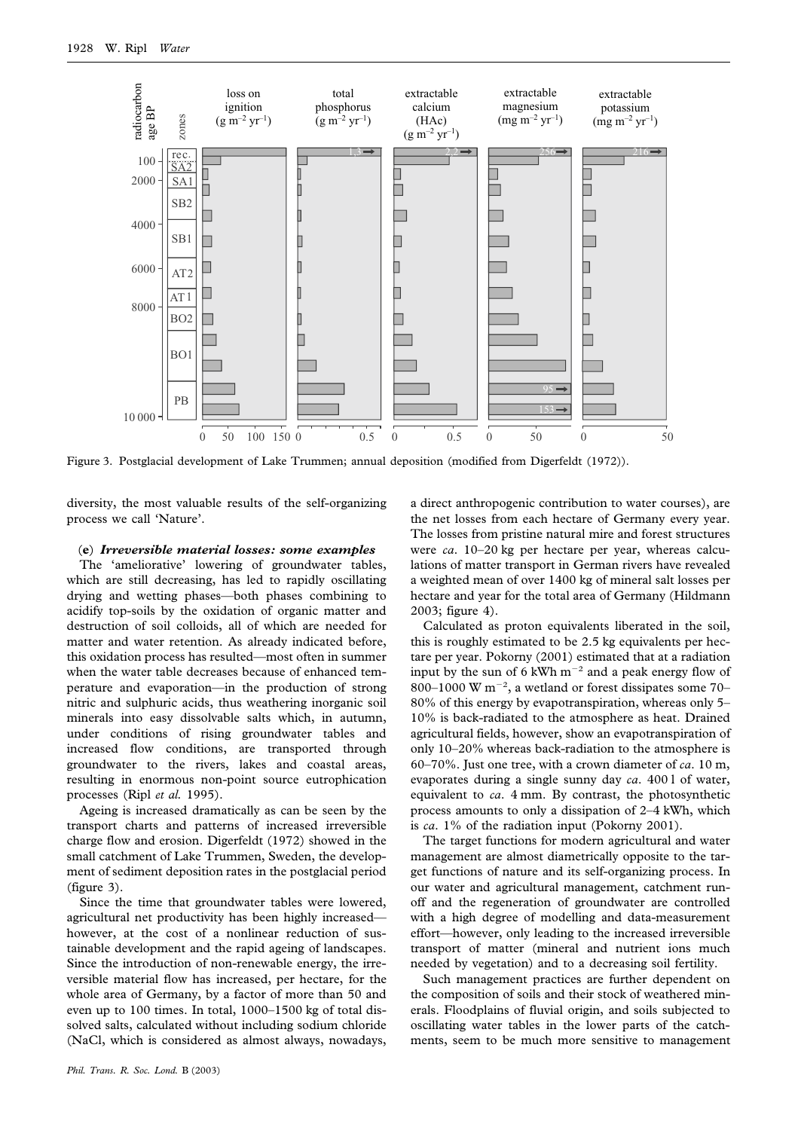

Figure 3. Postglacial development of Lake Trummen; annual deposition (modified from Digerfeldt (1972)).

diversity, the most valuable results of the self-organizing process we call 'Nature'.

#### (**e**) *Irreversible material losses: some examples*

The 'ameliorative' lowering of groundwater tables, which are still decreasing, has led to rapidly oscillating drying and wetting phases—both phases combining to acidify top-soils by the oxidation of organic matter and destruction of soil colloids, all of which are needed for matter and water retention. As already indicated before, this oxidation process has resulted—most often in summer when the water table decreases because of enhanced temperature and evaporation—in the production of strong nitric and sulphuric acids, thus weathering inorganic soil minerals into easy dissolvable salts which, in autumn, under conditions of rising groundwater tables and increased flow conditions, are transported through groundwater to the rivers, lakes and coastal areas, resulting in enormous non-point source eutrophication processes (Ripl *et al.* 1995).

Ageing is increased dramatically as can be seen by the transport charts and patterns of increased irreversible charge flow and erosion. Digerfeldt (1972) showed in the small catchment of Lake Trummen, Sweden, the development of sediment deposition rates in the postglacial period (figure 3).

Since the time that groundwater tables were lowered, agricultural net productivity has been highly increased however, at the cost of a nonlinear reduction of sustainable development and the rapid ageing of landscapes. Since the introduction of non-renewable energy, the irreversible material flow has increased, per hectare, for the whole area of Germany, by a factor of more than 50 and even up to 100 times. In total, 1000–1500 kg of total dissolved salts, calculated without including sodium chloride (NaCl, which is considered as almost always, nowadays,

a direct anthropogenic contribution to water courses), are the net losses from each hectare of Germany every year. The losses from pristine natural mire and forest structures were *ca*. 10–20 kg per hectare per year, whereas calculations of matter transport in German rivers have revealed a weighted mean of over 1400 kg of mineral salt losses per hectare and year for the total area of Germany (Hildmann 2003; figure 4).

Calculated as proton equivalents liberated in the soil, this is roughly estimated to be 2.5 kg equivalents per hectare per year. Pokorny (2001) estimated that at a radiation input by the sun of 6 kWh  $m^{-2}$  and a peak energy flow of 800–1000 W m<sup>-2</sup>, a wetland or forest dissipates some 70– 80% of this energy by evapotranspiration, whereas only 5– 10% is back-radiated to the atmosphere as heat. Drained agricultural fields, however, show an evapotranspiration of only 10–20% whereas back-radiation to the atmosphere is 60–70%. Just one tree, with a crown diameter of *ca*. 10 m, evaporates during a single sunny day *ca*. 400 l of water, equivalent to *ca*. 4 mm. By contrast, the photosynthetic process amounts to only a dissipation of 2–4 kWh, which is *ca*. 1% of the radiation input (Pokorny 2001).

The target functions for modern agricultural and water management are almost diametrically opposite to the target functions of nature and its self-organizing process. In our water and agricultural management, catchment runoff and the regeneration of groundwater are controlled with a high degree of modelling and data-measurement effort—however, only leading to the increased irreversible transport of matter (mineral and nutrient ions much needed by vegetation) and to a decreasing soil fertility.

Such management practices are further dependent on the composition of soils and their stock of weathered minerals. Floodplains of fluvial origin, and soils subjected to oscillating water tables in the lower parts of the catchments, seem to be much more sensitive to management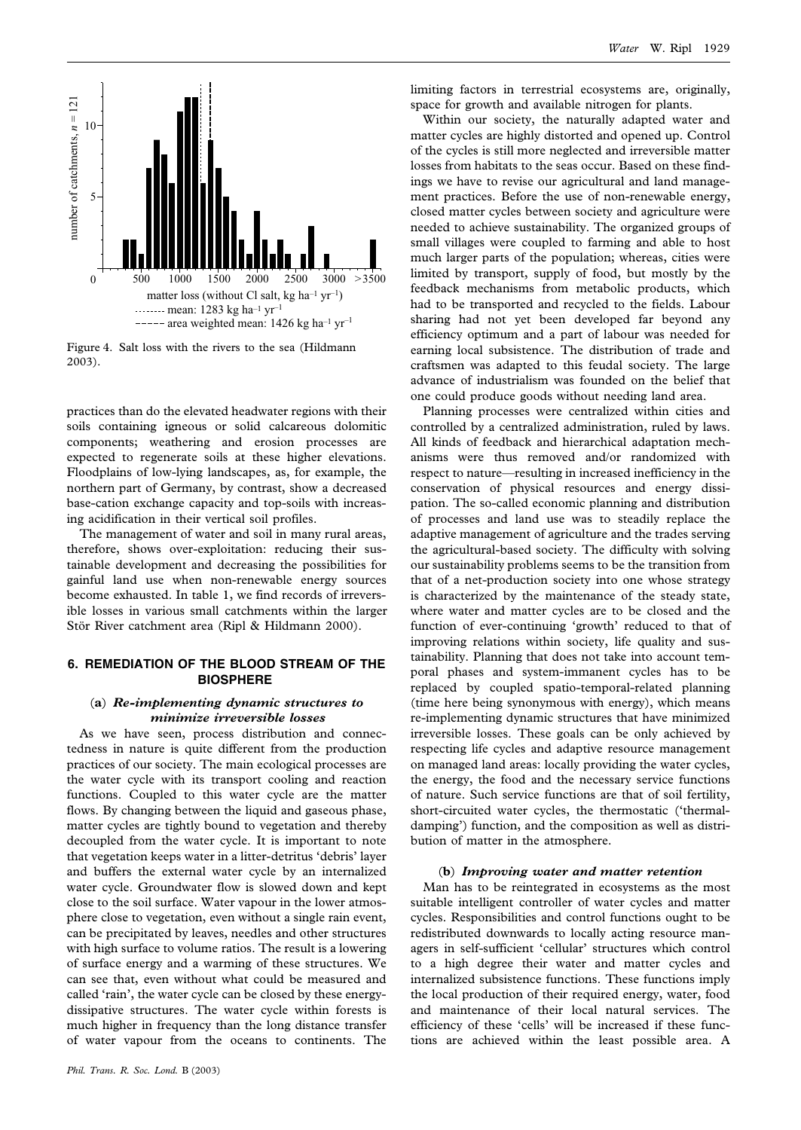

Figure 4. Salt loss with the rivers to the sea (Hildmann 2003).

practices than do the elevated headwater regions with their soils containing igneous or solid calcareous dolomitic components; weathering and erosion processes are expected to regenerate soils at these higher elevations. Floodplains of low-lying landscapes, as, for example, the northern part of Germany, by contrast, show a decreased base-cation exchange capacity and top-soils with increasing acidification in their vertical soil profiles.

The management of water and soil in many rural areas, therefore, shows over-exploitation: reducing their sustainable development and decreasing the possibilities for gainful land use when non-renewable energy sources become exhausted. In table 1, we find records of irreversible losses in various small catchments within the larger Stör River catchment area (Ripl & Hildmann 2000).

## **6. REMEDIATION OF THE BLOOD STREAM OF THE BIOSPHERE**

## (**a**) *Re-implementing dynamic structures to minimize irreversible losses*

As we have seen, process distribution and connectedness in nature is quite different from the production practices of our society. The main ecological processes are the water cycle with its transport cooling and reaction functions. Coupled to this water cycle are the matter flows. By changing between the liquid and gaseous phase, matter cycles are tightly bound to vegetation and thereby decoupled from the water cycle. It is important to note that vegetation keeps water in a litter-detritus 'debris' layer and buffers the external water cycle by an internalized water cycle. Groundwater flow is slowed down and kept close to the soil surface. Water vapour in the lower atmosphere close to vegetation, even without a single rain event, can be precipitated by leaves, needles and other structures with high surface to volume ratios. The result is a lowering of surface energy and a warming of these structures. We can see that, even without what could be measured and called 'rain', the water cycle can be closed by these energydissipative structures. The water cycle within forests is much higher in frequency than the long distance transfer of water vapour from the oceans to continents. The

limiting factors in terrestrial ecosystems are, originally, space for growth and available nitrogen for plants.

Within our society, the naturally adapted water and matter cycles are highly distorted and opened up. Control of the cycles is still more neglected and irreversible matter losses from habitats to the seas occur. Based on these findings we have to revise our agricultural and land management practices. Before the use of non-renewable energy, closed matter cycles between society and agriculture were needed to achieve sustainability. The organized groups of small villages were coupled to farming and able to host much larger parts of the population; whereas, cities were limited by transport, supply of food, but mostly by the feedback mechanisms from metabolic products, which had to be transported and recycled to the fields. Labour sharing had not yet been developed far beyond any efficiency optimum and a part of labour was needed for earning local subsistence. The distribution of trade and craftsmen was adapted to this feudal society. The large advance of industrialism was founded on the belief that one could produce goods without needing land area.

Planning processes were centralized within cities and controlled by a centralized administration, ruled by laws. All kinds of feedback and hierarchical adaptation mechanisms were thus removed and/or randomized with respect to nature—resulting in increased inefficiency in the conservation of physical resources and energy dissipation. The so-called economic planning and distribution of processes and land use was to steadily replace the adaptive management of agriculture and the trades serving the agricultural-based society. The difficulty with solving our sustainability problems seems to be the transition from that of a net-production society into one whose strategy is characterized by the maintenance of the steady state, where water and matter cycles are to be closed and the function of ever-continuing 'growth' reduced to that of improving relations within society, life quality and sustainability. Planning that does not take into account temporal phases and system-immanent cycles has to be replaced by coupled spatio-temporal-related planning (time here being synonymous with energy), which means re-implementing dynamic structures that have minimized irreversible losses. These goals can be only achieved by respecting life cycles and adaptive resource management on managed land areas: locally providing the water cycles, the energy, the food and the necessary service functions of nature. Such service functions are that of soil fertility, short-circuited water cycles, the thermostatic ('thermaldamping') function, and the composition as well as distribution of matter in the atmosphere.

#### (**b**) *Improving water and matter retention*

Man has to be reintegrated in ecosystems as the most suitable intelligent controller of water cycles and matter cycles. Responsibilities and control functions ought to be redistributed downwards to locally acting resource managers in self-sufficient 'cellular' structures which control to a high degree their water and matter cycles and internalized subsistence functions. These functions imply the local production of their required energy, water, food and maintenance of their local natural services. The efficiency of these 'cells' will be increased if these functions are achieved within the least possible area. A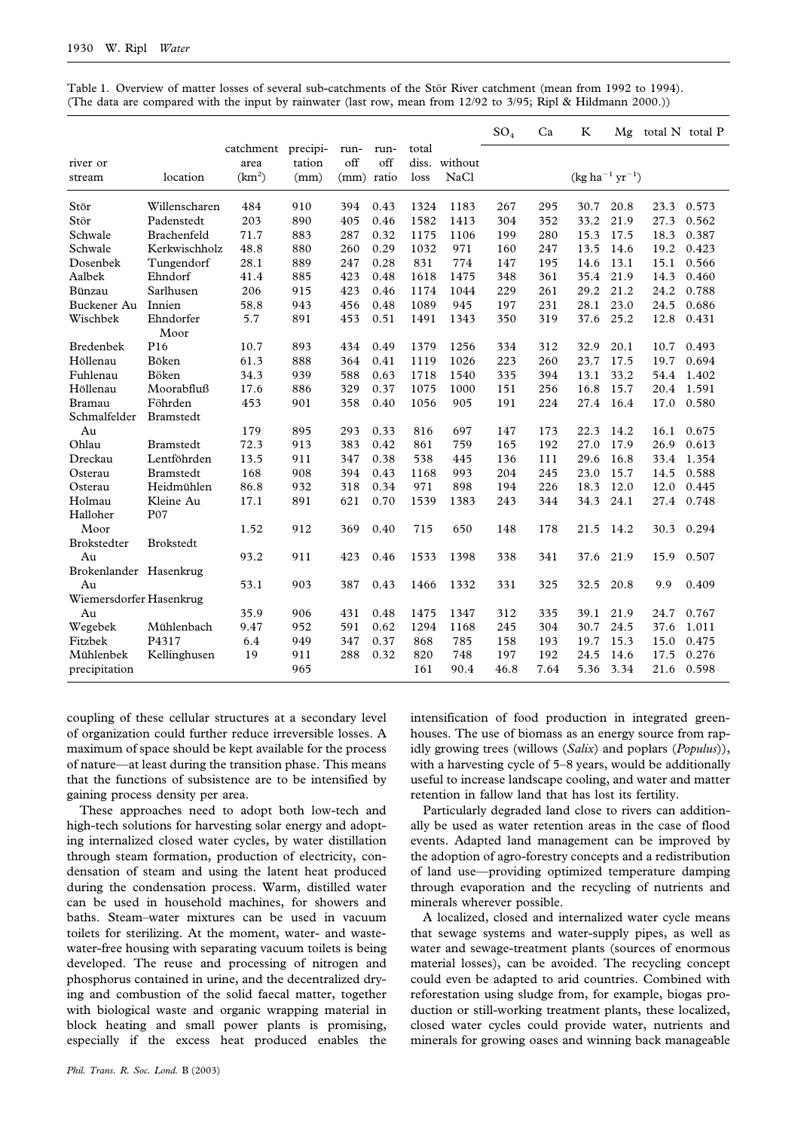|                         |                   |                            |                |                   |      |               |                        | SO <sub>4</sub> | Ca   | K    |                        | $Mg$ total N total P |            |
|-------------------------|-------------------|----------------------------|----------------|-------------------|------|---------------|------------------------|-----------------|------|------|------------------------|----------------------|------------|
|                         |                   | catchment                  | precipi-       | run-              | run- | total         |                        |                 |      |      |                        |                      |            |
| river or<br>stream      | location          | area<br>(km <sup>2</sup> ) | tation<br>(mm) | off<br>(mm) ratio | off  | diss.<br>loss | without<br><b>NaCl</b> |                 |      |      | $(kg ha^{-1} vr^{-1})$ |                      |            |
| Stör                    | Willenscharen     | 484                        | 910            | 394               | 0.43 | 1324          | 1183                   | 267             | 295  | 30.7 | 20.8                   | 23.3                 | 0.573      |
| Stör                    | Padenstedt        | 203                        | 890            | 405               | 0.46 | 1582          | 1413                   | 304             | 352  | 33.2 | 21.9                   | 27.3                 | 0.562      |
| Schwale                 | Brachenfeld       | 71.7                       | 883            | 287               | 0.32 | 1175          | 1106                   | 199             | 280  | 15.3 | 17.5                   | 18.3                 | 0.387      |
| Schwale                 | Kerkwischholz     | 48.8                       | 880            | 260               | 0.29 | 1032          | 971                    | 160             | 247  | 13.5 | 14.6                   | 19.2                 | 0.423      |
| Dosenbek                | Tungendorf        | 28.1                       | 889            | 247               | 0.28 | 831           | 774                    | 147             | 195  | 14.6 | 13.1                   | 15.1                 | 0.566      |
| Aalbek                  | Ehndorf           | 41.4                       | 885            | 423               | 0.48 | 1618          | 1475                   | 348             | 361  | 35.4 | 21.9                   | 14.3                 | 0.460      |
| Bünzau                  | Sarlhusen         | 206                        | 915            | 423               | 0.46 | 1174          | 1044                   | 229             | 261  | 29.2 | 21.2                   | 24.2                 | 0.788      |
| Buckener Au             | Innien            | 58.8                       | 943            | 456               | 0.48 | 1089          | 945                    | 197             | 231  | 28.1 | 23.0                   | 24.5                 | 0.686      |
| Wischbek                | Ehndorfer<br>Moor | 5.7                        | 891            | 453               | 0.51 | 1491          | 1343                   | 350             | 319  | 37.6 | 25.2                   | 12.8                 | 0.431      |
| Bredenbek               | P <sub>16</sub>   | 10.7                       | 893            | 434               | 0.49 | 1379          | 1256                   | 334             | 312  | 32.9 | 20.1                   | 10.7                 | 0.493      |
| Höllenau                | Böken             | 61.3                       | 888            | 364               | 0.41 | 1119          | 1026                   | 223             | 260  | 23.7 | 17.5                   | 19.7                 | 0.694      |
| Fuhlenau                | Böken             | 34.3                       | 939            | 588               | 0.63 | 1718          | 1540                   | 335             | 394  | 13.1 | 33.2                   | 54.4                 | 1.402      |
| Höllenau                | Moorabfluß        | 17.6                       | 886            | 329               | 0.37 | 1075          | 1000                   | 151             | 256  | 16.8 | 15.7                   | 20.4                 | 1.591      |
| Bramau                  | Föhrden           | 453                        | 901            | 358               | 0.40 | 1056          | 905                    | 191             | 224  | 27.4 | 16.4                   | 17.0                 | 0.580      |
| Schmalfelder            | Bramstedt         |                            |                |                   |      |               |                        |                 |      |      |                        |                      |            |
| Au                      |                   | 179                        | 895            | 293               | 0.33 | 816           | 697                    | 147             | 173  | 22.3 | 14.2                   | 16.1                 | 0.675      |
| Ohlau                   | Bramstedt         | 72.3                       | 913            | 383               | 0.42 | 861           | 759                    | 165             | 192  | 27.0 | 17.9                   | 26.9                 | 0.613      |
| Dreckau                 | Lentföhrden       | 13.5                       | 911            | 347               | 0.38 | 538           | 445                    | 136             | 111  | 29.6 | 16.8                   | 33.4                 | 1.354      |
| Osterau                 | Bramstedt         | 168                        | 908            | 394               | 0.43 | 1168          | 993                    | 204             | 245  | 23.0 | 15.7                   | 14.5                 | 0.588      |
| Osterau                 | Heidmühlen        | 86.8                       | 932            | 318               | 0.34 | 971           | 898                    | 194             | 226  | 18.3 | 12.0                   | 12.0                 | 0.445      |
| Holmau                  | Kleine Au         | 17.1                       | 891            | 621               | 0.70 | 1539          | 1383                   | 243             | 344  | 34.3 | 24.1                   |                      | 27.4 0.748 |
| Halloher<br>Moor        | P07               | 1.52                       | 912            | 369               |      | 715           | 650                    | 148             | 178  |      |                        |                      | 0.294      |
| Brokstedter             | Brokstedt         |                            |                |                   | 0.40 |               |                        |                 |      | 21.5 | 14.2                   | 30.3                 |            |
| Au                      |                   | 93.2                       | 911            | 423               | 0.46 | 1533          | 1398                   | 338             | 341  | 37.6 | 21.9                   | 15.9                 | 0.507      |
| Brokenlander Hasenkrug  |                   |                            |                |                   |      |               |                        |                 |      |      |                        |                      |            |
| Au                      |                   | 53.1                       | 903            | 387               | 0.43 | 1466          | 1332                   | 331             | 325  | 32.5 | 20.8                   | 9.9                  | 0.409      |
| Wiemersdorfer Hasenkrug |                   |                            |                |                   |      |               |                        |                 |      |      |                        |                      |            |
| Au                      |                   | 35.9                       | 906            | 431               | 0.48 | 1475          | 1347                   | 312             | 335  | 39.1 | 21.9                   | 24.7                 | 0.767      |
| Wegebek                 | Mühlenbach        | 9.47                       | 952            | 591               | 0.62 | 1294          | 1168                   | 245             | 304  | 30.7 | 24.5                   | 37.6                 | 1.011      |
| Fitzbek                 | P4317             | 6.4                        | 949            | 347               | 0.37 | 868           | 785                    | 158             | 193  | 19.7 | 15.3                   | 15.0                 | 0.475      |
| Mühlenbek               | Kellinghusen      | 19                         | 911            | 288               | 0.32 | 820           | 748                    | 197             | 192  | 24.5 | 14.6                   | 17.5                 | 0.276      |
| precipitation           |                   |                            | 965            |                   |      | 161           | 90.4                   | 46.8            | 7.64 | 5.36 | 3.34                   | 21.6                 | 0.598      |

Table 1. Overview of matter losses of several sub-catchments of the Stör River catchment (mean from 1992 to 1994). (The data are compared with the input by rainwater (last row, mean from 12/92 to 3/95; Ripl & Hildmann 2000.))

coupling of these cellular structures at a secondary level of organization could further reduce irreversible losses. A maximum of space should be kept available for the process of nature—at least during the transition phase. This means that the functions of subsistence are to be intensified by gaining process density per area.

These approaches need to adopt both low-tech and high-tech solutions for harvesting solar energy and adopting internalized closed water cycles, by water distillation through steam formation, production of electricity, condensation of steam and using the latent heat produced during the condensation process. Warm, distilled water can be used in household machines, for showers and baths. Steam–water mixtures can be used in vacuum toilets for sterilizing. At the moment, water- and wastewater-free housing with separating vacuum toilets is being developed. The reuse and processing of nitrogen and phosphorus contained in urine, and the decentralized drying and combustion of the solid faecal matter, together with biological waste and organic wrapping material in block heating and small power plants is promising, especially if the excess heat produced enables the

intensification of food production in integrated greenhouses. The use of biomass as an energy source from rapidly growing trees (willows (*Salix*) and poplars (*Populus*)), with a harvesting cycle of 5–8 years, would be additionally useful to increase landscape cooling, and water and matter retention in fallow land that has lost its fertility.

Particularly degraded land close to rivers can additionally be used as water retention areas in the case of flood events. Adapted land management can be improved by the adoption of agro-forestry concepts and a redistribution of land use—providing optimized temperature damping through evaporation and the recycling of nutrients and minerals wherever possible.

A localized, closed and internalized water cycle means that sewage systems and water-supply pipes, as well as water and sewage-treatment plants (sources of enormous material losses), can be avoided. The recycling concept could even be adapted to arid countries. Combined with reforestation using sludge from, for example, biogas production or still-working treatment plants, these localized, closed water cycles could provide water, nutrients and minerals for growing oases and winning back manageable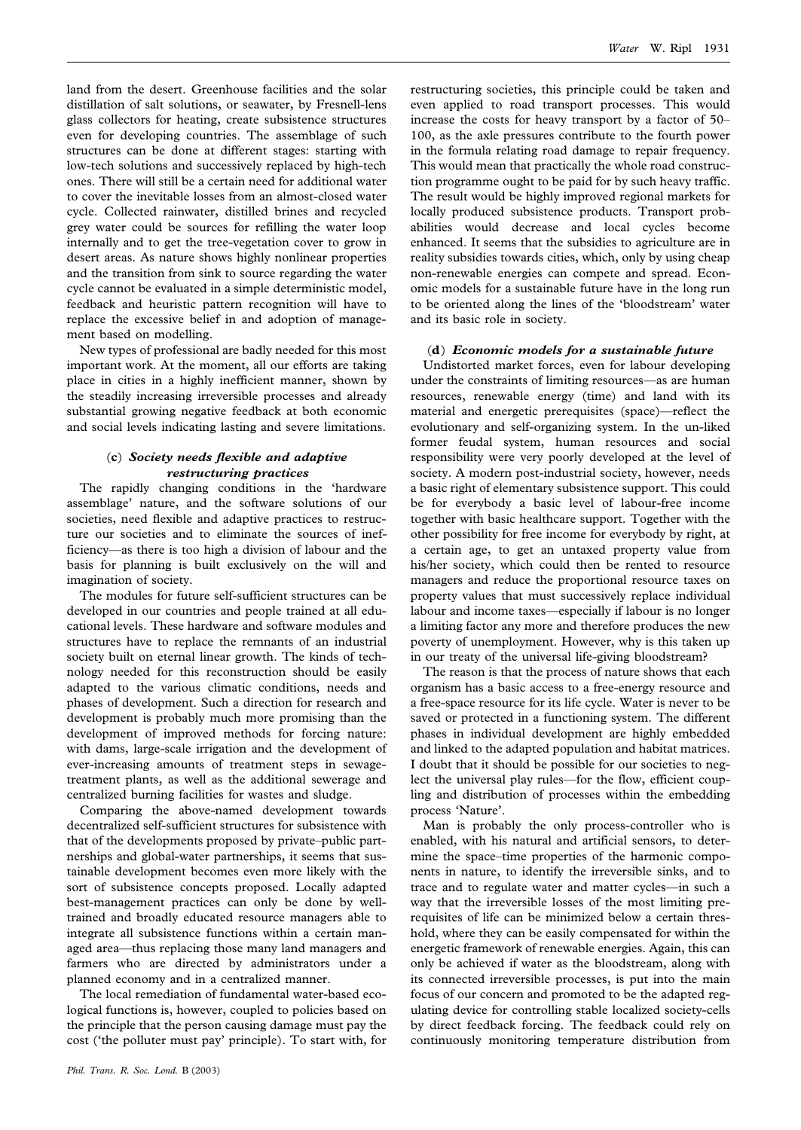land from the desert. Greenhouse facilities and the solar distillation of salt solutions, or seawater, by Fresnell-lens glass collectors for heating, create subsistence structures even for developing countries. The assemblage of such structures can be done at different stages: starting with low-tech solutions and successively replaced by high-tech ones. There will still be a certain need for additional water to cover the inevitable losses from an almost-closed water cycle. Collected rainwater, distilled brines and recycled grey water could be sources for refilling the water loop internally and to get the tree-vegetation cover to grow in desert areas. As nature shows highly nonlinear properties and the transition from sink to source regarding the water cycle cannot be evaluated in a simple deterministic model, feedback and heuristic pattern recognition will have to replace the excessive belief in and adoption of management based on modelling.

New types of professional are badly needed for this most important work. At the moment, all our efforts are taking place in cities in a highly inefficient manner, shown by the steadily increasing irreversible processes and already substantial growing negative feedback at both economic and social levels indicating lasting and severe limitations.

## (**c**) *Society needs flexible and adaptive restructuring practices*

The rapidly changing conditions in the 'hardware assemblage' nature, and the software solutions of our societies, need flexible and adaptive practices to restructure our societies and to eliminate the sources of inefficiency—as there is too high a division of labour and the basis for planning is built exclusively on the will and imagination of society.

The modules for future self-sufficient structures can be developed in our countries and people trained at all educational levels. These hardware and software modules and structures have to replace the remnants of an industrial society built on eternal linear growth. The kinds of technology needed for this reconstruction should be easily adapted to the various climatic conditions, needs and phases of development. Such a direction for research and development is probably much more promising than the development of improved methods for forcing nature: with dams, large-scale irrigation and the development of ever-increasing amounts of treatment steps in sewagetreatment plants, as well as the additional sewerage and centralized burning facilities for wastes and sludge.

Comparing the above-named development towards decentralized self-sufficient structures for subsistence with that of the developments proposed by private–public partnerships and global-water partnerships, it seems that sustainable development becomes even more likely with the sort of subsistence concepts proposed. Locally adapted best-management practices can only be done by welltrained and broadly educated resource managers able to integrate all subsistence functions within a certain managed area—thus replacing those many land managers and farmers who are directed by administrators under a planned economy and in a centralized manner.

The local remediation of fundamental water-based ecological functions is, however, coupled to policies based on the principle that the person causing damage must pay the cost ('the polluter must pay' principle). To start with, for

restructuring societies, this principle could be taken and even applied to road transport processes. This would increase the costs for heavy transport by a factor of 50– 100, as the axle pressures contribute to the fourth power in the formula relating road damage to repair frequency. This would mean that practically the whole road construction programme ought to be paid for by such heavy traffic. The result would be highly improved regional markets for locally produced subsistence products. Transport probabilities would decrease and local cycles become enhanced. It seems that the subsidies to agriculture are in reality subsidies towards cities, which, only by using cheap non-renewable energies can compete and spread. Economic models for a sustainable future have in the long run to be oriented along the lines of the 'bloodstream' water and its basic role in society.

#### (**d**) *Economic models for a sustainable future*

Undistorted market forces, even for labour developing under the constraints of limiting resources—as are human resources, renewable energy (time) and land with its material and energetic prerequisites (space)—reflect the evolutionary and self-organizing system. In the un-liked former feudal system, human resources and social responsibility were very poorly developed at the level of society. A modern post-industrial society, however, needs a basic right of elementary subsistence support. This could be for everybody a basic level of labour-free income together with basic healthcare support. Together with the other possibility for free income for everybody by right, at a certain age, to get an untaxed property value from his/her society, which could then be rented to resource managers and reduce the proportional resource taxes on property values that must successively replace individual labour and income taxes—especially if labour is no longer a limiting factor any more and therefore produces the new poverty of unemployment. However, why is this taken up in our treaty of the universal life-giving bloodstream?

The reason is that the process of nature shows that each organism has a basic access to a free-energy resource and a free-space resource for its life cycle. Water is never to be saved or protected in a functioning system. The different phases in individual development are highly embedded and linked to the adapted population and habitat matrices. I doubt that it should be possible for our societies to neglect the universal play rules—for the flow, efficient coupling and distribution of processes within the embedding process 'Nature'.

Man is probably the only process-controller who is enabled, with his natural and artificial sensors, to determine the space–time properties of the harmonic components in nature, to identify the irreversible sinks, and to trace and to regulate water and matter cycles—in such a way that the irreversible losses of the most limiting prerequisites of life can be minimized below a certain threshold, where they can be easily compensated for within the energetic framework of renewable energies. Again, this can only be achieved if water as the bloodstream, along with its connected irreversible processes, is put into the main focus of our concern and promoted to be the adapted regulating device for controlling stable localized society-cells by direct feedback forcing. The feedback could rely on continuously monitoring temperature distribution from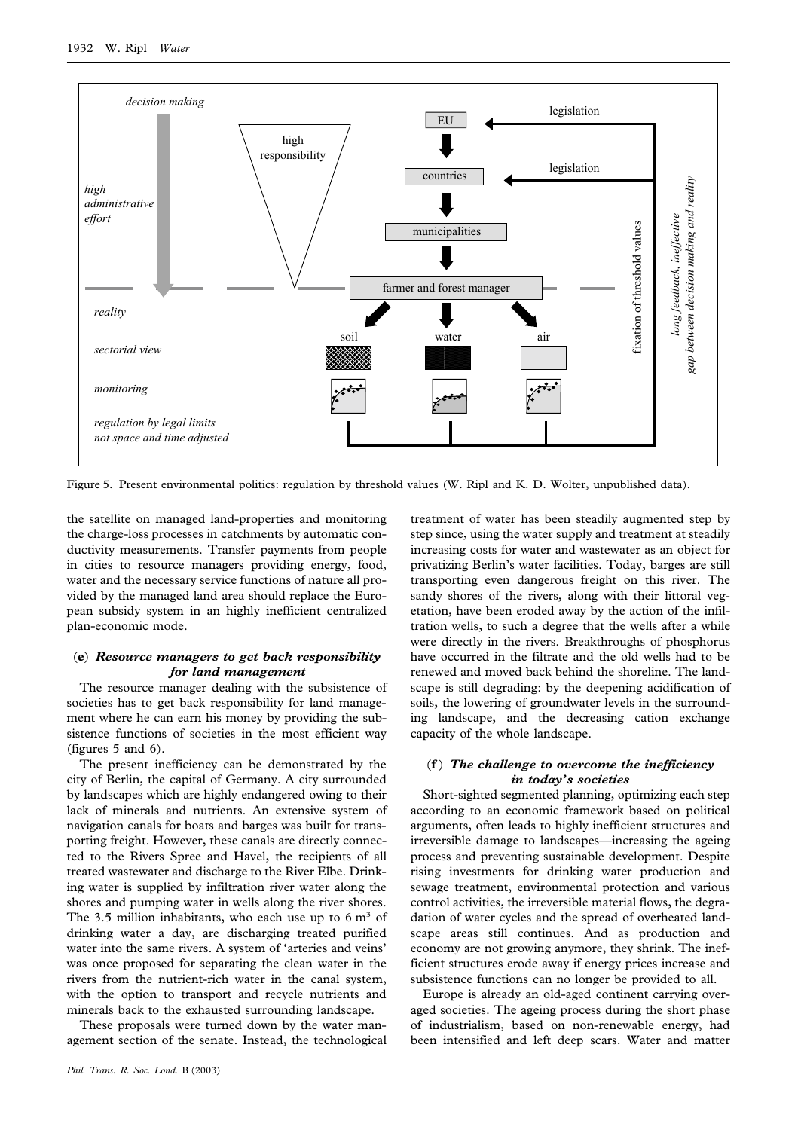

Figure 5. Present environmental politics: regulation by threshold values (W. Ripl and K. D. Wolter, unpublished data).

the satellite on managed land-properties and monitoring the charge-loss processes in catchments by automatic conductivity measurements. Transfer payments from people in cities to resource managers providing energy, food, water and the necessary service functions of nature all provided by the managed land area should replace the European subsidy system in an highly inefficient centralized plan-economic mode.

## (**e**) *Resource managers to get back responsibility for land management*

The resource manager dealing with the subsistence of societies has to get back responsibility for land management where he can earn his money by providing the subsistence functions of societies in the most efficient way (figures 5 and 6).

The present inefficiency can be demonstrated by the city of Berlin, the capital of Germany. A city surrounded by landscapes which are highly endangered owing to their lack of minerals and nutrients. An extensive system of navigation canals for boats and barges was built for transporting freight. However, these canals are directly connected to the Rivers Spree and Havel, the recipients of all treated wastewater and discharge to the River Elbe. Drinking water is supplied by infiltration river water along the shores and pumping water in wells along the river shores. The 3.5 million inhabitants, who each use up to  $6 \text{ m}^3$  of drinking water a day, are discharging treated purified water into the same rivers. A system of 'arteries and veins' was once proposed for separating the clean water in the rivers from the nutrient-rich water in the canal system, with the option to transport and recycle nutrients and minerals back to the exhausted surrounding landscape.

These proposals were turned down by the water management section of the senate. Instead, the technological

treatment of water has been steadily augmented step by step since, using the water supply and treatment at steadily increasing costs for water and wastewater as an object for privatizing Berlin's water facilities. Today, barges are still transporting even dangerous freight on this river. The sandy shores of the rivers, along with their littoral vegetation, have been eroded away by the action of the infiltration wells, to such a degree that the wells after a while were directly in the rivers. Breakthroughs of phosphorus have occurred in the filtrate and the old wells had to be renewed and moved back behind the shoreline. The landscape is still degrading: by the deepening acidification of soils, the lowering of groundwater levels in the surrounding landscape, and the decreasing cation exchange capacity of the whole landscape.

## (**f** ) *The challenge to overcome the inefficiency in today's societies*

Short-sighted segmented planning, optimizing each step according to an economic framework based on political arguments, often leads to highly inefficient structures and irreversible damage to landscapes—increasing the ageing process and preventing sustainable development. Despite rising investments for drinking water production and sewage treatment, environmental protection and various control activities, the irreversible material flows, the degradation of water cycles and the spread of overheated landscape areas still continues. And as production and economy are not growing anymore, they shrink. The inefficient structures erode away if energy prices increase and subsistence functions can no longer be provided to all.

Europe is already an old-aged continent carrying overaged societies. The ageing process during the short phase of industrialism, based on non-renewable energy, had been intensified and left deep scars. Water and matter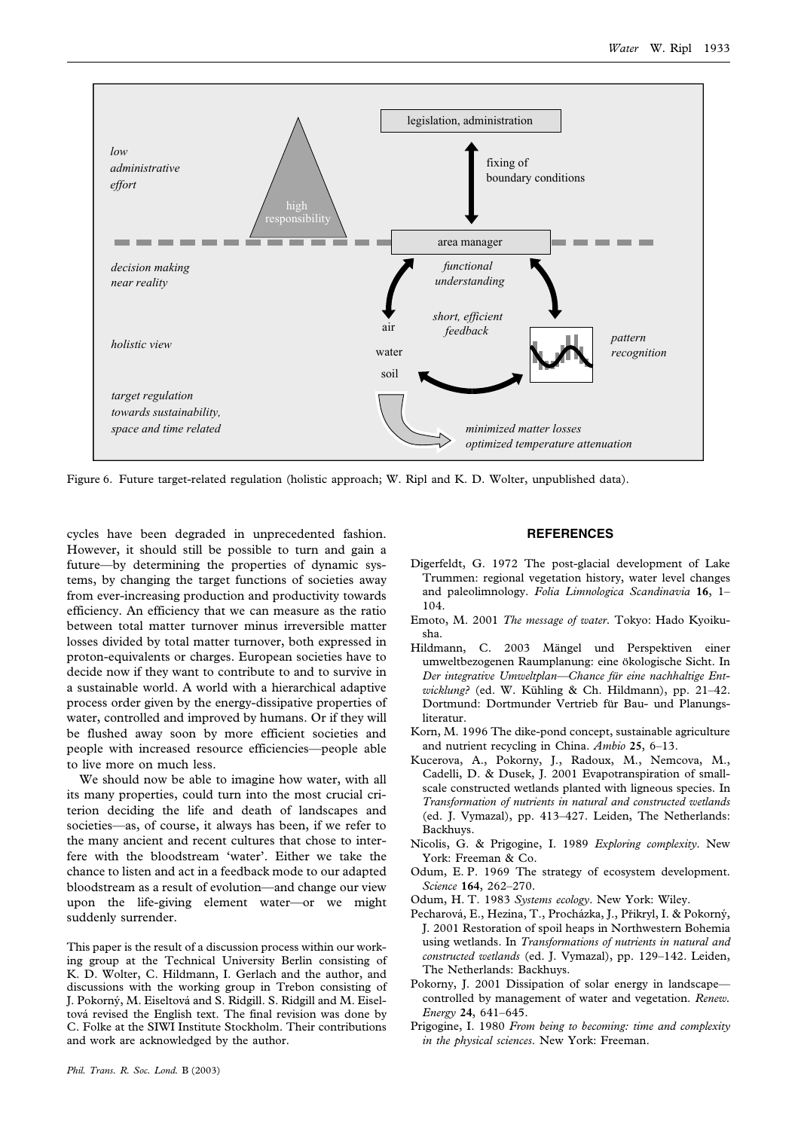

Figure 6. Future target-related regulation (holistic approach; W. Ripl and K. D. Wolter, unpublished data).

cycles have been degraded in unprecedented fashion. However, it should still be possible to turn and gain a future—by determining the properties of dynamic systems, by changing the target functions of societies away from ever-increasing production and productivity towards efficiency. An efficiency that we can measure as the ratio between total matter turnover minus irreversible matter losses divided by total matter turnover, both expressed in proton-equivalents or charges. European societies have to decide now if they want to contribute to and to survive in a sustainable world. A world with a hierarchical adaptive process order given by the energy-dissipative properties of water, controlled and improved by humans. Or if they will be flushed away soon by more efficient societies and people with increased resource efficiencies—people able to live more on much less.

We should now be able to imagine how water, with all its many properties, could turn into the most crucial criterion deciding the life and death of landscapes and societies—as, of course, it always has been, if we refer to the many ancient and recent cultures that chose to interfere with the bloodstream 'water'. Either we take the chance to listen and act in a feedback mode to our adapted bloodstream as a result of evolution—and change our view upon the life-giving element water—or we might suddenly surrender.

This paper is the result of a discussion process within our working group at the Technical University Berlin consisting of K. D. Wolter, C. Hildmann, I. Gerlach and the author, and discussions with the working group in Trebon consisting of J. Pokorný, M. Eiseltová and S. Ridgill. S. Ridgill and M. Eiseltova´ revised the English text. The final revision was done by C. Folke at the SIWI Institute Stockholm. Their contributions and work are acknowledged by the author.

#### **REFERENCES**

- Digerfeldt, G. 1972 The post-glacial development of Lake Trummen: regional vegetation history, water level changes and paleolimnology. *Folia Limnologica Scandinavia* **16**, 1– 104.
- Emoto, M. 2001 *The message of water*. Tokyo: Hado Kyoikusha.
- Hildmann, C. 2003 Mängel und Perspektiven einer umweltbezogenen Raumplanung: eine ökologische Sicht. In Der integrative Umweltplan—Chance für eine nachhaltige Ent*wicklung?* (ed. W. Kühling & Ch. Hildmann), pp. 21–42. Dortmund: Dortmunder Vertrieb für Bau- und Planungsliteratur.
- Korn, M. 1996 The dike-pond concept, sustainable agriculture and nutrient recycling in China. *Ambio* **25**, 6–13.
- Kucerova, A., Pokorny, J., Radoux, M., Nemcova, M., Cadelli, D. & Dusek, J. 2001 Evapotranspiration of smallscale constructed wetlands planted with ligneous species. In *Transformation of nutrients in natural and constructed wetlands* (ed. J. Vymazal), pp. 413–427. Leiden, The Netherlands: Backhuys.
- Nicolis, G. & Prigogine, I. 1989 *Exploring complexity*. New York: Freeman & Co.
- Odum, E. P. 1969 The strategy of ecosystem development. *Science* **164**, 262–270.
- Odum, H. T. 1983 *Systems ecology*. New York: Wiley.
- Pecharová, E., Hezina, T., Procházka, J., Přikryl, I. & Pokorný, J. 2001 Restoration of spoil heaps in Northwestern Bohemia using wetlands. In *Transformations of nutrients in natural and constructed wetlands* (ed. J. Vymazal), pp. 129–142. Leiden, The Netherlands: Backhuys.
- Pokorny, J. 2001 Dissipation of solar energy in landscape controlled by management of water and vegetation. *Renew. Energy* **24**, 641–645.
- Prigogine, I. 1980 *From being to becoming: time and complexity in the physical sciences*. New York: Freeman.